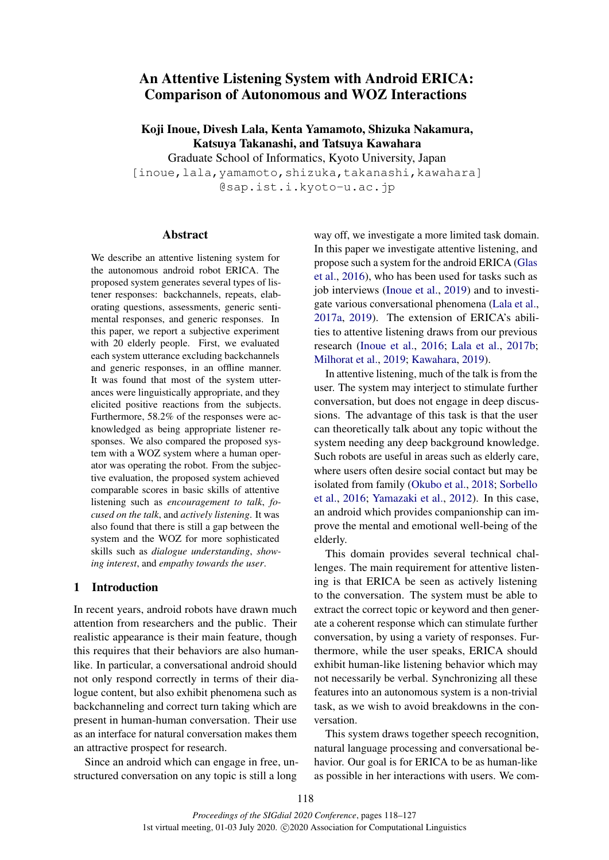# An Attentive Listening System with Android ERICA: Comparison of Autonomous and WOZ Interactions

Koji Inoue, Divesh Lala, Kenta Yamamoto, Shizuka Nakamura, Katsuya Takanashi, and Tatsuya Kawahara

Graduate School of Informatics, Kyoto University, Japan [inoue, lala, yamamoto, shizuka, takanashi, kawahara] @sap.ist.i.kyoto-u.ac.jp

# Abstract

We describe an attentive listening system for the autonomous android robot ERICA. The proposed system generates several types of listener responses: backchannels, repeats, elaborating questions, assessments, generic sentimental responses, and generic responses. In this paper, we report a subjective experiment with 20 elderly people. First, we evaluated each system utterance excluding backchannels and generic responses, in an offline manner. It was found that most of the system utterances were linguistically appropriate, and they elicited positive reactions from the subjects. Furthermore, 58.2% of the responses were acknowledged as being appropriate listener responses. We also compared the proposed system with a WOZ system where a human operator was operating the robot. From the subjective evaluation, the proposed system achieved comparable scores in basic skills of attentive listening such as *encouragement to talk*, *focused on the talk*, and *actively listening*. It was also found that there is still a gap between the system and the WOZ for more sophisticated skills such as *dialogue understanding*, *showing interest*, and *empathy towards the user*.

# 1 Introduction

In recent years, android robots have drawn much attention from researchers and the public. Their realistic appearance is their main feature, though this requires that their behaviors are also humanlike. In particular, a conversational android should not only respond correctly in terms of their dialogue content, but also exhibit phenomena such as backchanneling and correct turn taking which are present in human-human conversation. Their use as an interface for natural conversation makes them an attractive prospect for research.

Since an android which can engage in free, unstructured conversation on any topic is still a long

way off, we investigate a more limited task domain. In this paper we investigate attentive listening, and propose such a system for the android ERICA [\(Glas](#page-8-0) [et al.,](#page-8-0) [2016\)](#page-8-0), who has been used for tasks such as job interviews [\(Inoue et al.,](#page-8-1) [2019\)](#page-8-1) and to investigate various conversational phenomena [\(Lala et al.,](#page-8-2) [2017a,](#page-8-2) [2019\)](#page-8-3). The extension of ERICA's abilities to attentive listening draws from our previous research [\(Inoue et al.,](#page-8-4) [2016;](#page-8-4) [Lala et al.,](#page-8-5) [2017b;](#page-8-5) [Milhorat et al.,](#page-8-6) [2019;](#page-8-6) [Kawahara,](#page-8-7) [2019\)](#page-8-7).

In attentive listening, much of the talk is from the user. The system may interject to stimulate further conversation, but does not engage in deep discussions. The advantage of this task is that the user can theoretically talk about any topic without the system needing any deep background knowledge. Such robots are useful in areas such as elderly care, where users often desire social contact but may be isolated from family [\(Okubo et al.,](#page-8-8) [2018;](#page-8-8) [Sorbello](#page-9-0) [et al.,](#page-9-0) [2016;](#page-9-0) [Yamazaki et al.,](#page-9-1) [2012\)](#page-9-1). In this case, an android which provides companionship can improve the mental and emotional well-being of the elderly.

This domain provides several technical challenges. The main requirement for attentive listening is that ERICA be seen as actively listening to the conversation. The system must be able to extract the correct topic or keyword and then generate a coherent response which can stimulate further conversation, by using a variety of responses. Furthermore, while the user speaks, ERICA should exhibit human-like listening behavior which may not necessarily be verbal. Synchronizing all these features into an autonomous system is a non-trivial task, as we wish to avoid breakdowns in the conversation.

This system draws together speech recognition, natural language processing and conversational behavior. Our goal is for ERICA to be as human-like as possible in her interactions with users. We com-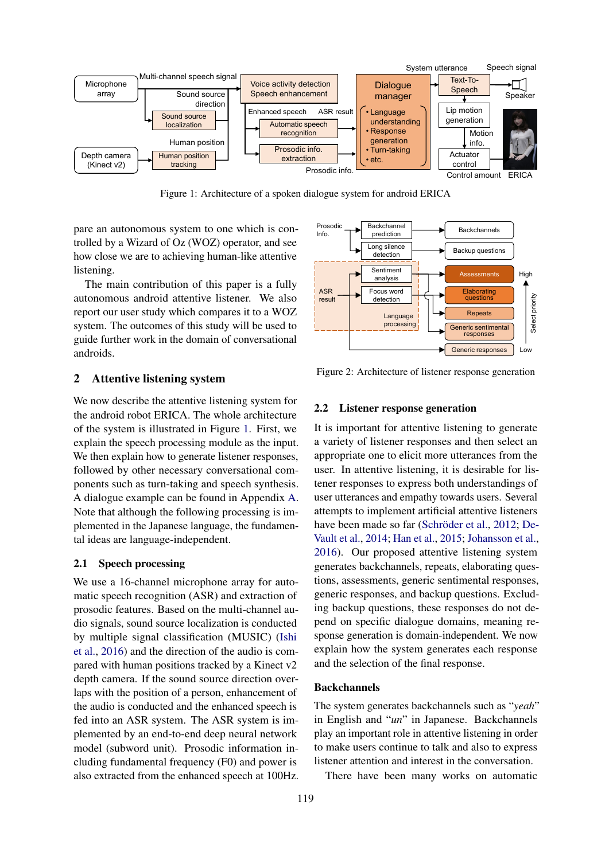<span id="page-1-0"></span>

Figure 1: Architecture of a spoken dialogue system for android ERICA

pare an autonomous system to one which is controlled by a Wizard of Oz (WOZ) operator, and see how close we are to achieving human-like attentive listening.

The main contribution of this paper is a fully autonomous android attentive listener. We also report our user study which compares it to a WOZ system. The outcomes of this study will be used to guide further work in the domain of conversational androids.

# 2 Attentive listening system

We now describe the attentive listening system for the android robot ERICA. The whole architecture of the system is illustrated in Figure [1.](#page-1-0) First, we explain the speech processing module as the input. We then explain how to generate listener responses, followed by other necessary conversational components such as turn-taking and speech synthesis. A dialogue example can be found in Appendix [A.](#page-9-2) Note that although the following processing is implemented in the Japanese language, the fundamental ideas are language-independent.

# 2.1 Speech processing

We use a 16-channel microphone array for automatic speech recognition (ASR) and extraction of prosodic features. Based on the multi-channel audio signals, sound source localization is conducted by multiple signal classification (MUSIC) [\(Ishi](#page-8-9) [et al.,](#page-8-9) [2016\)](#page-8-9) and the direction of the audio is compared with human positions tracked by a Kinect v2 depth camera. If the sound source direction overlaps with the position of a person, enhancement of the audio is conducted and the enhanced speech is fed into an ASR system. The ASR system is implemented by an end-to-end deep neural network model (subword unit). Prosodic information including fundamental frequency (F0) and power is also extracted from the enhanced speech at 100Hz.

<span id="page-1-1"></span>

Figure 2: Architecture of listener response generation

#### 2.2 Listener response generation

It is important for attentive listening to generate a variety of listener responses and then select an appropriate one to elicit more utterances from the user. In attentive listening, it is desirable for listener responses to express both understandings of user utterances and empathy towards users. Several attempts to implement artificial attentive listeners have been made so far (Schröder et al., [2012;](#page-8-10) [De-](#page-8-11)[Vault et al.,](#page-8-11) [2014;](#page-8-11) [Han et al.,](#page-8-12) [2015;](#page-8-12) [Johansson et al.,](#page-8-13) [2016\)](#page-8-13). Our proposed attentive listening system generates backchannels, repeats, elaborating questions, assessments, generic sentimental responses, generic responses, and backup questions. Excluding backup questions, these responses do not depend on specific dialogue domains, meaning response generation is domain-independent. We now explain how the system generates each response and the selection of the final response.

#### Backchannels

The system generates backchannels such as "*yeah*" in English and "*un*" in Japanese. Backchannels play an important role in attentive listening in order to make users continue to talk and also to express listener attention and interest in the conversation.

There have been many works on automatic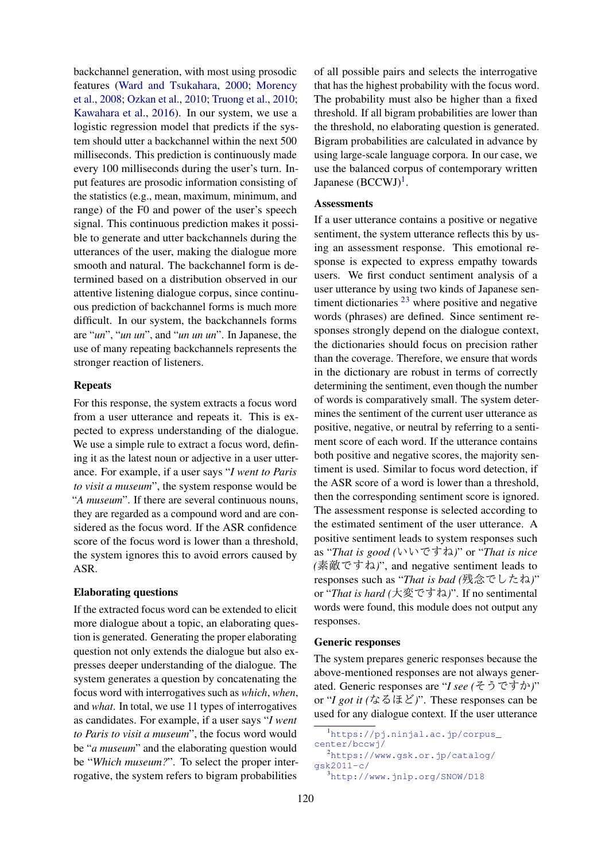backchannel generation, with most using prosodic features [\(Ward and Tsukahara,](#page-9-3) [2000;](#page-9-3) [Morency](#page-8-14) [et al.,](#page-8-14) [2008;](#page-8-14) [Ozkan et al.,](#page-8-15) [2010;](#page-8-15) [Truong et al.,](#page-9-4) [2010;](#page-9-4) [Kawahara et al.,](#page-8-16) [2016\)](#page-8-16). In our system, we use a logistic regression model that predicts if the system should utter a backchannel within the next 500 milliseconds. This prediction is continuously made every 100 milliseconds during the user's turn. Input features are prosodic information consisting of the statistics (e.g., mean, maximum, minimum, and range) of the F0 and power of the user's speech signal. This continuous prediction makes it possible to generate and utter backchannels during the utterances of the user, making the dialogue more smooth and natural. The backchannel form is determined based on a distribution observed in our attentive listening dialogue corpus, since continuous prediction of backchannel forms is much more difficult. In our system, the backchannels forms are "*un*", "*un un*", and "*un un un*". In Japanese, the use of many repeating backchannels represents the stronger reaction of listeners.

# Repeats

For this response, the system extracts a focus word from a user utterance and repeats it. This is expected to express understanding of the dialogue. We use a simple rule to extract a focus word, defining it as the latest noun or adjective in a user utterance. For example, if a user says "*I went to Paris to visit a museum*", the system response would be "*A museum*". If there are several continuous nouns, they are regarded as a compound word and are considered as the focus word. If the ASR confidence score of the focus word is lower than a threshold, the system ignores this to avoid errors caused by ASR.

# Elaborating questions

If the extracted focus word can be extended to elicit more dialogue about a topic, an elaborating question is generated. Generating the proper elaborating question not only extends the dialogue but also expresses deeper understanding of the dialogue. The system generates a question by concatenating the focus word with interrogatives such as *which*, *when*, and *what*. In total, we use 11 types of interrogatives as candidates. For example, if a user says "*I went to Paris to visit a museum*", the focus word would be "*a museum*" and the elaborating question would be "*Which museum?*". To select the proper interrogative, the system refers to bigram probabilities

of all possible pairs and selects the interrogative that has the highest probability with the focus word. The probability must also be higher than a fixed threshold. If all bigram probabilities are lower than the threshold, no elaborating question is generated. Bigram probabilities are calculated in advance by using large-scale language corpora. In our case, we use the balanced corpus of contemporary written Japanese  $(BCCWJ)^1$  $(BCCWJ)^1$ .

#### **Assessments**

If a user utterance contains a positive or negative sentiment, the system utterance reflects this by using an assessment response. This emotional response is expected to express empathy towards users. We first conduct sentiment analysis of a user utterance by using two kinds of Japanese sentiment dictionaries  $23$  $23$  where positive and negative words (phrases) are defined. Since sentiment responses strongly depend on the dialogue context, the dictionaries should focus on precision rather than the coverage. Therefore, we ensure that words in the dictionary are robust in terms of correctly determining the sentiment, even though the number of words is comparatively small. The system determines the sentiment of the current user utterance as positive, negative, or neutral by referring to a sentiment score of each word. If the utterance contains both positive and negative scores, the majority sentiment is used. Similar to focus word detection, if the ASR score of a word is lower than a threshold, then the corresponding sentiment score is ignored. The assessment response is selected according to the estimated sentiment of the user utterance. A positive sentiment leads to system responses such as "*That is good (*いいですね*)*" or "*That is nice (*素敵ですね*)*", and negative sentiment leads to responses such as "*That is bad (*残念でしたね*)*" or "*That is hard (*大変ですね*)*". If no sentimental words were found, this module does not output any responses.

#### Generic responses

The system prepares generic responses because the above-mentioned responses are not always generated. Generic responses are "*I see (*そうですか*)*" or "*I got it (*なるほど*)*". These responses can be used for any dialogue context. If the user utterance

<span id="page-2-0"></span><sup>&</sup>lt;sup>1</sup>https://pj.ninjal.ac.jp/corpus [center/bccwj/](https://pj.ninjal.ac.jp/corpus_center/bccwj/)

<span id="page-2-1"></span><sup>2</sup>[https://www.gsk.or.jp/catalog/](https://www.gsk.or.jp/catalog/gsk2011-c/) [gsk2011-c/](https://www.gsk.or.jp/catalog/gsk2011-c/)

<span id="page-2-2"></span><sup>3</sup><http://www.jnlp.org/SNOW/D18>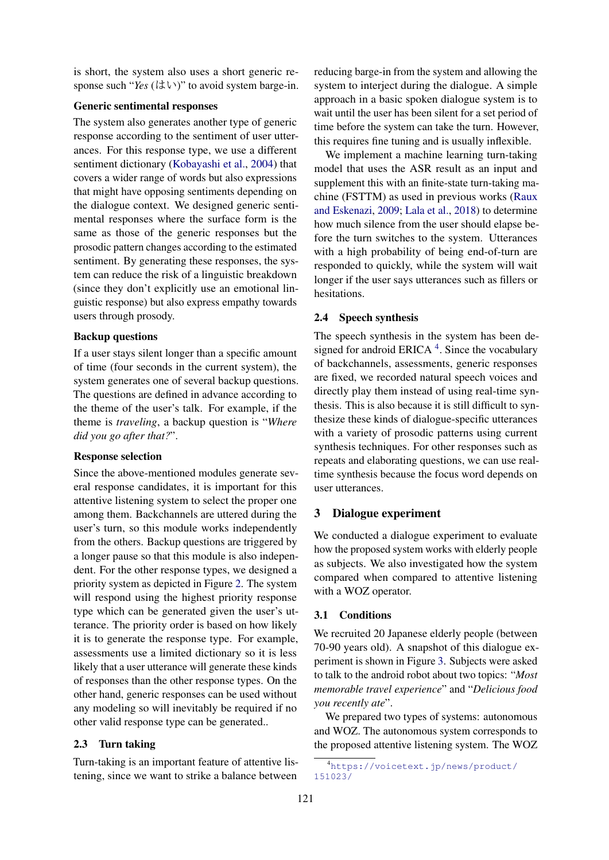is short, the system also uses a short generic response such "*Yes*  $(l \ddagger \vee)$ " to avoid system barge-in.

# Generic sentimental responses

The system also generates another type of generic response according to the sentiment of user utterances. For this response type, we use a different sentiment dictionary [\(Kobayashi et al.,](#page-8-17) [2004\)](#page-8-17) that covers a wider range of words but also expressions that might have opposing sentiments depending on the dialogue context. We designed generic sentimental responses where the surface form is the same as those of the generic responses but the prosodic pattern changes according to the estimated sentiment. By generating these responses, the system can reduce the risk of a linguistic breakdown (since they don't explicitly use an emotional linguistic response) but also express empathy towards users through prosody.

# Backup questions

If a user stays silent longer than a specific amount of time (four seconds in the current system), the system generates one of several backup questions. The questions are defined in advance according to the theme of the user's talk. For example, if the theme is *traveling*, a backup question is "*Where did you go after that?*".

# Response selection

Since the above-mentioned modules generate several response candidates, it is important for this attentive listening system to select the proper one among them. Backchannels are uttered during the user's turn, so this module works independently from the others. Backup questions are triggered by a longer pause so that this module is also independent. For the other response types, we designed a priority system as depicted in Figure [2.](#page-1-1) The system will respond using the highest priority response type which can be generated given the user's utterance. The priority order is based on how likely it is to generate the response type. For example, assessments use a limited dictionary so it is less likely that a user utterance will generate these kinds of responses than the other response types. On the other hand, generic responses can be used without any modeling so will inevitably be required if no other valid response type can be generated..

# 2.3 Turn taking

Turn-taking is an important feature of attentive listening, since we want to strike a balance between

reducing barge-in from the system and allowing the system to interject during the dialogue. A simple approach in a basic spoken dialogue system is to wait until the user has been silent for a set period of time before the system can take the turn. However, this requires fine tuning and is usually inflexible.

We implement a machine learning turn-taking model that uses the ASR result as an input and supplement this with an finite-state turn-taking machine (FSTTM) as used in previous works [\(Raux](#page-8-18) [and Eskenazi,](#page-8-18) [2009;](#page-8-18) [Lala et al.,](#page-8-19) [2018\)](#page-8-19) to determine how much silence from the user should elapse before the turn switches to the system. Utterances with a high probability of being end-of-turn are responded to quickly, while the system will wait longer if the user says utterances such as fillers or hesitations.

## 2.4 Speech synthesis

The speech synthesis in the system has been designed for android ERICA  $4$ . Since the vocabulary of backchannels, assessments, generic responses are fixed, we recorded natural speech voices and directly play them instead of using real-time synthesis. This is also because it is still difficult to synthesize these kinds of dialogue-specific utterances with a variety of prosodic patterns using current synthesis techniques. For other responses such as repeats and elaborating questions, we can use realtime synthesis because the focus word depends on user utterances.

# 3 Dialogue experiment

We conducted a dialogue experiment to evaluate how the proposed system works with elderly people as subjects. We also investigated how the system compared when compared to attentive listening with a WOZ operator.

#### 3.1 Conditions

We recruited 20 Japanese elderly people (between 70-90 years old). A snapshot of this dialogue experiment is shown in Figure [3.](#page-4-0) Subjects were asked to talk to the android robot about two topics: "*Most memorable travel experience*" and "*Delicious food you recently ate*".

We prepared two types of systems: autonomous and WOZ. The autonomous system corresponds to the proposed attentive listening system. The WOZ

<span id="page-3-0"></span><sup>4</sup>[https://voicetext.jp/news/product/](https://voicetext.jp/news/product/151023/) [151023/](https://voicetext.jp/news/product/151023/)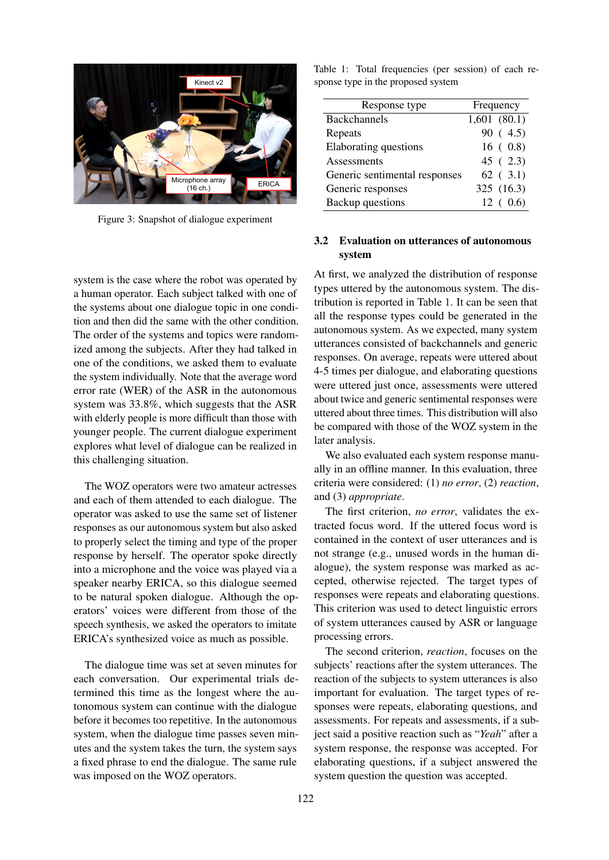<span id="page-4-0"></span>

Figure 3: Snapshot of dialogue experiment

system is the case where the robot was operated by a human operator. Each subject talked with one of the systems about one dialogue topic in one condition and then did the same with the other condition. The order of the systems and topics were randomized among the subjects. After they had talked in one of the conditions, we asked them to evaluate the system individually. Note that the average word error rate (WER) of the ASR in the autonomous system was 33.8%, which suggests that the ASR with elderly people is more difficult than those with younger people. The current dialogue experiment explores what level of dialogue can be realized in this challenging situation.

The WOZ operators were two amateur actresses and each of them attended to each dialogue. The operator was asked to use the same set of listener responses as our autonomous system but also asked to properly select the timing and type of the proper response by herself. The operator spoke directly into a microphone and the voice was played via a speaker nearby ERICA, so this dialogue seemed to be natural spoken dialogue. Although the operators' voices were different from those of the speech synthesis, we asked the operators to imitate ERICA's synthesized voice as much as possible.

The dialogue time was set at seven minutes for each conversation. Our experimental trials determined this time as the longest where the autonomous system can continue with the dialogue before it becomes too repetitive. In the autonomous system, when the dialogue time passes seven minutes and the system takes the turn, the system says a fixed phrase to end the dialogue. The same rule was imposed on the WOZ operators.

<span id="page-4-1"></span>Table 1: Total frequencies (per session) of each response type in the proposed system

| Response type                 | Frequency   |  |
|-------------------------------|-------------|--|
| <b>Backchannels</b>           | 1,601(80.1) |  |
| Repeats                       | 90(4.5)     |  |
| Elaborating questions         | 16(0.8)     |  |
| Assessments                   | 45(2.3)     |  |
| Generic sentimental responses | $62$ (3.1)  |  |
| Generic responses             | 325 (16.3)  |  |
| <b>Backup</b> questions       | 12(0.6)     |  |

# 3.2 Evaluation on utterances of autonomous system

At first, we analyzed the distribution of response types uttered by the autonomous system. The distribution is reported in Table [1.](#page-4-1) It can be seen that all the response types could be generated in the autonomous system. As we expected, many system utterances consisted of backchannels and generic responses. On average, repeats were uttered about 4-5 times per dialogue, and elaborating questions were uttered just once, assessments were uttered about twice and generic sentimental responses were uttered about three times. This distribution will also be compared with those of the WOZ system in the later analysis.

We also evaluated each system response manually in an offline manner. In this evaluation, three criteria were considered: (1) *no error*, (2) *reaction*, and (3) *appropriate*.

The first criterion, *no error*, validates the extracted focus word. If the uttered focus word is contained in the context of user utterances and is not strange (e.g., unused words in the human dialogue), the system response was marked as accepted, otherwise rejected. The target types of responses were repeats and elaborating questions. This criterion was used to detect linguistic errors of system utterances caused by ASR or language processing errors.

The second criterion, *reaction*, focuses on the subjects' reactions after the system utterances. The reaction of the subjects to system utterances is also important for evaluation. The target types of responses were repeats, elaborating questions, and assessments. For repeats and assessments, if a subject said a positive reaction such as "*Yeah*" after a system response, the response was accepted. For elaborating questions, if a subject answered the system question the question was accepted.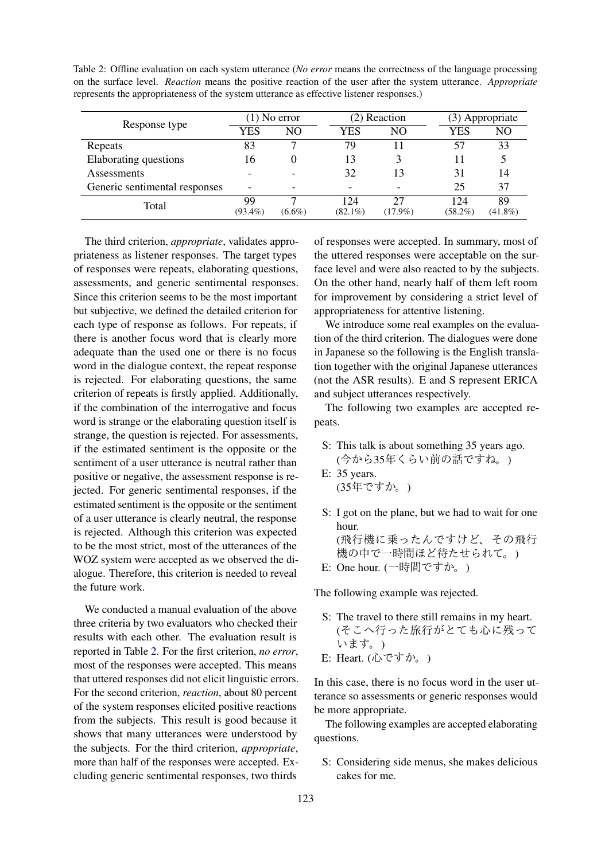<span id="page-5-0"></span>Table 2: Offline evaluation on each system utterance (*No error* means the correctness of the language processing on the surface level. *Reaction* means the positive reaction of the user after the system utterance. *Appropriate* represents the appropriateness of the system utterance as effective listener responses.)

|                               | $(1)$ No error   |           | (2) Reaction      |            |                   | (3) Appropriate  |  |
|-------------------------------|------------------|-----------|-------------------|------------|-------------------|------------------|--|
| Response type                 | YES              | NO.       | YES               | NO         | YES               | NO               |  |
| Repeats                       | 83               |           | 79                |            | 57                | 33               |  |
| Elaborating questions         | 16               |           | 13                |            |                   |                  |  |
| Assessments                   |                  |           | 32                | 13         | 31                | 14               |  |
| Generic sentimental responses | -                | ۰         |                   |            | 25                | 37               |  |
| Total                         | 99<br>$(93.4\%)$ | $(6.6\%)$ | 124<br>$(82.1\%)$ | $(17.9\%)$ | 124<br>$(58.2\%)$ | 89<br>$(41.8\%)$ |  |

The third criterion, *appropriate*, validates appropriateness as listener responses. The target types of responses were repeats, elaborating questions, assessments, and generic sentimental responses. Since this criterion seems to be the most important but subjective, we defined the detailed criterion for each type of response as follows. For repeats, if there is another focus word that is clearly more adequate than the used one or there is no focus word in the dialogue context, the repeat response is rejected. For elaborating questions, the same criterion of repeats is firstly applied. Additionally, if the combination of the interrogative and focus word is strange or the elaborating question itself is strange, the question is rejected. For assessments, if the estimated sentiment is the opposite or the sentiment of a user utterance is neutral rather than positive or negative, the assessment response is rejected. For generic sentimental responses, if the estimated sentiment is the opposite or the sentiment of a user utterance is clearly neutral, the response is rejected. Although this criterion was expected to be the most strict, most of the utterances of the WOZ system were accepted as we observed the dialogue. Therefore, this criterion is needed to reveal the future work.

We conducted a manual evaluation of the above three criteria by two evaluators who checked their results with each other. The evaluation result is reported in Table [2.](#page-5-0) For the first criterion, *no error*, most of the responses were accepted. This means that uttered responses did not elicit linguistic errors. For the second criterion, *reaction*, about 80 percent of the system responses elicited positive reactions from the subjects. This result is good because it shows that many utterances were understood by the subjects. For the third criterion, *appropriate*, more than half of the responses were accepted. Excluding generic sentimental responses, two thirds

of responses were accepted. In summary, most of the uttered responses were acceptable on the surface level and were also reacted to by the subjects. On the other hand, nearly half of them left room for improvement by considering a strict level of appropriateness for attentive listening.

We introduce some real examples on the evaluation of the third criterion. The dialogues were done in Japanese so the following is the English translation together with the original Japanese utterances (not the ASR results). E and S represent ERICA and subject utterances respectively.

The following two examples are accepted repeats.

- S: This talk is about something 35 years ago. (今から35年くらい前の話ですね。)
- E: 35 years. (35年ですか。)
- S: I got on the plane, but we had to wait for one hour. (飛行機に乗ったんですけど、その飛行 <sup>機</sup>の中で一時間ほど待たせられて。)
- E: One hour. (一時間ですか。)

The following example was rejected.

- S: The travel to there still remains in my heart. (そこへ行った旅行がとても心に残って います。) E: Heart. (心ですか。)
- 

In this case, there is no focus word in the user utterance so assessments or generic responses would be more appropriate.

The following examples are accepted elaborating questions.

S: Considering side menus, she makes delicious cakes for me.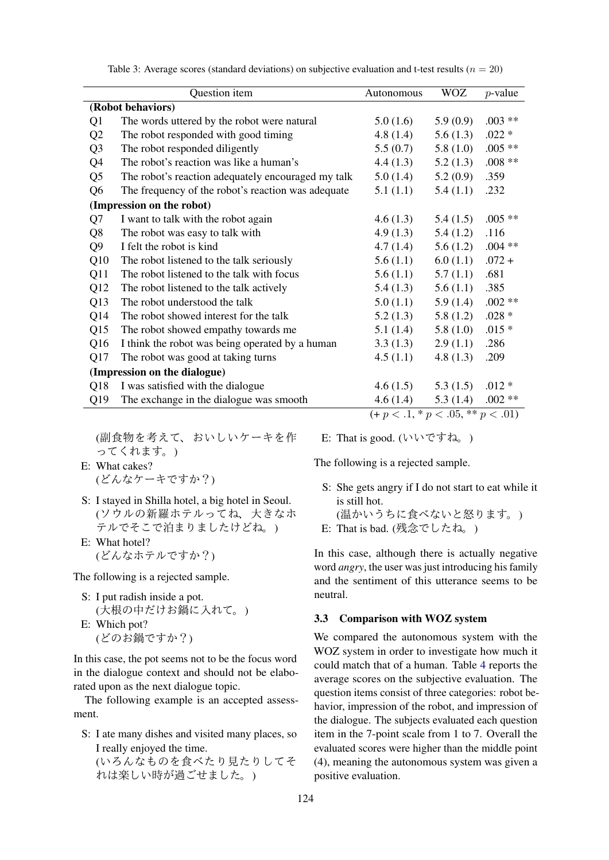|                              | Question item                                      | Autonomous                          | <b>WOZ</b>  | $p$ -value |  |
|------------------------------|----------------------------------------------------|-------------------------------------|-------------|------------|--|
|                              | (Robot behaviors)                                  |                                     |             |            |  |
| Q1                           | The words uttered by the robot were natural        | 5.0(1.6)                            | 5.9(0.9)    | $.003**$   |  |
| Q2                           | The robot responded with good timing               | 4.8(1.4)                            | 5.6(1.3)    | $.022 *$   |  |
| Q <sub>3</sub>               | The robot responded diligently                     | 5.5(0.7)                            | 5.8(1.0)    | $.005**$   |  |
| Q4                           | The robot's reaction was like a human's            | 4.4(1.3)                            | 5.2(1.3)    | $.008**$   |  |
| Q <sub>5</sub>               | The robot's reaction adequately encouraged my talk | 5.0(1.4)                            | 5.2(0.9)    | .359       |  |
| Q <sub>6</sub>               | The frequency of the robot's reaction was adequate | 5.1(1.1)                            | 5.4(1.1)    | .232       |  |
|                              | (Impression on the robot)                          |                                     |             |            |  |
| Q7                           | I want to talk with the robot again                | 4.6(1.3)                            | 5.4(1.5)    | $.005**$   |  |
| Q8                           | The robot was easy to talk with                    | 4.9(1.3)                            | 5.4(1.2)    | .116       |  |
| Q <sub>9</sub>               | I felt the robot is kind                           | 4.7(1.4)                            | 5.6(1.2)    | $.004**$   |  |
| Q10                          | The robot listened to the talk seriously           | 5.6(1.1)                            | 6.0(1.1)    | $.072 +$   |  |
| Q11                          | The robot listened to the talk with focus          | 5.6(1.1)                            | 5.7(1.1)    | .681       |  |
| Q12                          | The robot listened to the talk actively            | 5.4(1.3)                            | 5.6(1.1)    | .385       |  |
| Q13                          | The robot understood the talk                      | 5.0(1.1)                            | 5.9(1.4)    | $.002**$   |  |
| Q14                          | The robot showed interest for the talk             | 5.2(1.3)                            | 5.8(1.2)    | .028 $*$   |  |
| Q15                          | The robot showed empathy towards me                | 5.1(1.4)                            | 5.8(1.0)    | $.015*$    |  |
| Q <sub>16</sub>              | I think the robot was being operated by a human    | 3.3(1.3)                            | 2.9(1.1)    | .286       |  |
| Q17                          | The robot was good at taking turns                 | 4.5(1.1)                            | 4.8 $(1.3)$ | .209       |  |
| (Impression on the dialogue) |                                                    |                                     |             |            |  |
| Q18                          | I was satisfied with the dialogue                  | 4.6(1.5)                            | 5.3(1.5)    | $.012*$    |  |
| Q19                          | The exchange in the dialogue was smooth            | 4.6(1.4)                            | 5.3(1.4)    | $.002**$   |  |
|                              |                                                    | $(+ p < .1, * p < .05, ** p < .01)$ |             |            |  |

Table 3: Average scores (standard deviations) on subjective evaluation and t-test results ( $n = 20$ )

(副食物を考えて、おいしいケーキを<sup>作</sup> ってくれます。)

E: What cakes? (どんなケーキですか?)

- S: I stayed in Shilla hotel, a big hotel in Seoul. (ソウルの新羅ホテルってね、大きなホ テルでそこで泊まりましたけどね。)
- E: What hotel? (どんなホテルですか?)

The following is a rejected sample.

- S: I put radish inside a pot. (大根の中だけお鍋に入れて。)
- E: Which pot? (どのお鍋ですか?)

In this case, the pot seems not to be the focus word in the dialogue context and should not be elaborated upon as the next dialogue topic.

The following example is an accepted assessment.

S: I ate many dishes and visited many places, so I really enjoyed the time. (いろんなものを食べたり見たりしてそ れは楽しい時が過ごせました。)

E: That is good. (いいですね。)

The following is a rejected sample.

S: She gets angry if I do not start to eat while it is still hot.

(温かいうちに食べないと怒ります。)

E: That is bad. (残念でしたね。)

In this case, although there is actually negative word *angry*, the user was just introducing his family and the sentiment of this utterance seems to be neutral.

#### 3.3 Comparison with WOZ system

We compared the autonomous system with the WOZ system in order to investigate how much it could match that of a human. Table [4](#page-7-0) reports the average scores on the subjective evaluation. The question items consist of three categories: robot behavior, impression of the robot, and impression of the dialogue. The subjects evaluated each question item in the 7-point scale from 1 to 7. Overall the evaluated scores were higher than the middle point (4), meaning the autonomous system was given a positive evaluation.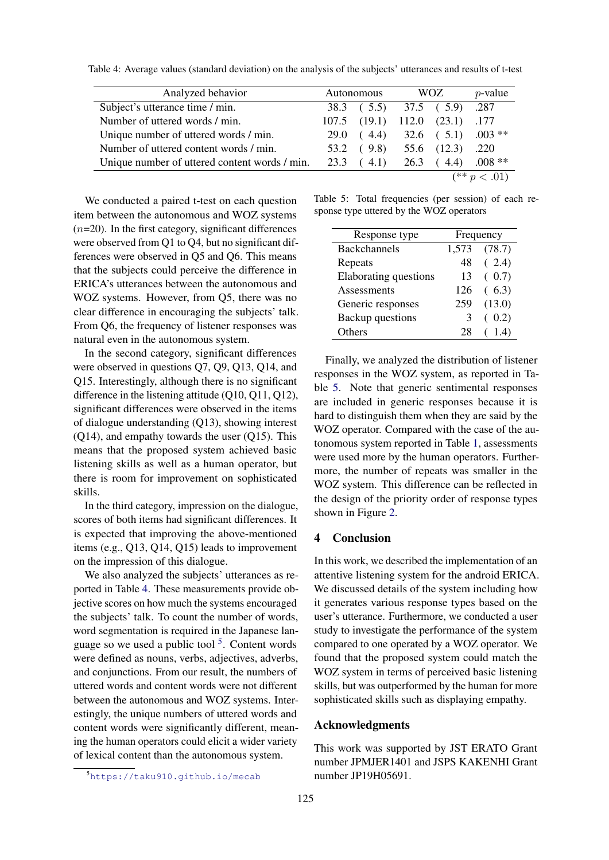| Analyzed behavior                             | Autonomous |                                | WOZ |              | $p$ -value                       |
|-----------------------------------------------|------------|--------------------------------|-----|--------------|----------------------------------|
| Subject's utterance time / min.               |            | 38.3 (5.5) 37.5 (5.9) .287     |     |              |                                  |
| Number of uttered words / min.                |            | 107.5 (19.1) 112.0 (23.1) .177 |     |              |                                  |
| Unique number of uttered words / min.         |            |                                |     |              | 29.0 $(4.4)$ 32.6 $(5.1)$ .003** |
| Number of uttered content words / min.        |            | $53.2 \quad (9.8)$             |     | 55.6 (12.3)  | .220                             |
| Unique number of uttered content words / min. |            | $23.3 \quad (4.1)$             |     | $26.3$ (4.4) | $.008**$                         |
|                                               |            |                                |     |              | $(** p < .01)$                   |

<span id="page-7-0"></span>Table 4: Average values (standard deviation) on the analysis of the subjects' utterances and results of t-test

We conducted a paired t-test on each question item between the autonomous and WOZ systems  $(n=20)$ . In the first category, significant differences were observed from Q1 to Q4, but no significant differences were observed in Q5 and Q6. This means that the subjects could perceive the difference in ERICA's utterances between the autonomous and WOZ systems. However, from Q5, there was no clear difference in encouraging the subjects' talk. From Q6, the frequency of listener responses was natural even in the autonomous system.

In the second category, significant differences were observed in questions Q7, Q9, Q13, Q14, and Q15. Interestingly, although there is no significant difference in the listening attitude (Q10, Q11, Q12), significant differences were observed in the items of dialogue understanding (Q13), showing interest (Q14), and empathy towards the user (Q15). This means that the proposed system achieved basic listening skills as well as a human operator, but there is room for improvement on sophisticated skills.

In the third category, impression on the dialogue, scores of both items had significant differences. It is expected that improving the above-mentioned items (e.g., Q13, Q14, Q15) leads to improvement on the impression of this dialogue.

We also analyzed the subjects' utterances as reported in Table [4.](#page-7-0) These measurements provide objective scores on how much the systems encouraged the subjects' talk. To count the number of words, word segmentation is required in the Japanese language so we used a public tool  $5$ . Content words were defined as nouns, verbs, adjectives, adverbs, and conjunctions. From our result, the numbers of uttered words and content words were not different between the autonomous and WOZ systems. Interestingly, the unique numbers of uttered words and content words were significantly different, meaning the human operators could elicit a wider variety of lexical content than the autonomous system.

<span id="page-7-2"></span>Table 5: Total frequencies (per session) of each response type uttered by the WOZ operators

| Response type         | Frequency |        |
|-----------------------|-----------|--------|
| <b>Backchannels</b>   | 1,573     | (78.7) |
| Repeats               | 48        | (2.4)  |
| Elaborating questions | 13        | (0.7)  |
| Assessments           | 126       | (6.3)  |
| Generic responses     | 259       | (13.0) |
| Backup questions      | 3         | (0.2)  |
| )thers                |           | 1.4)   |

Finally, we analyzed the distribution of listener responses in the WOZ system, as reported in Table [5.](#page-7-2) Note that generic sentimental responses are included in generic responses because it is hard to distinguish them when they are said by the WOZ operator. Compared with the case of the autonomous system reported in Table [1,](#page-4-1) assessments were used more by the human operators. Furthermore, the number of repeats was smaller in the WOZ system. This difference can be reflected in the design of the priority order of response types shown in Figure [2.](#page-1-1)

# 4 Conclusion

In this work, we described the implementation of an attentive listening system for the android ERICA. We discussed details of the system including how it generates various response types based on the user's utterance. Furthermore, we conducted a user study to investigate the performance of the system compared to one operated by a WOZ operator. We found that the proposed system could match the WOZ system in terms of perceived basic listening skills, but was outperformed by the human for more sophisticated skills such as displaying empathy.

## Acknowledgments

This work was supported by JST ERATO Grant number JPMJER1401 and JSPS KAKENHI Grant number JP19H05691.

<span id="page-7-1"></span><sup>5</sup><https://taku910.github.io/mecab>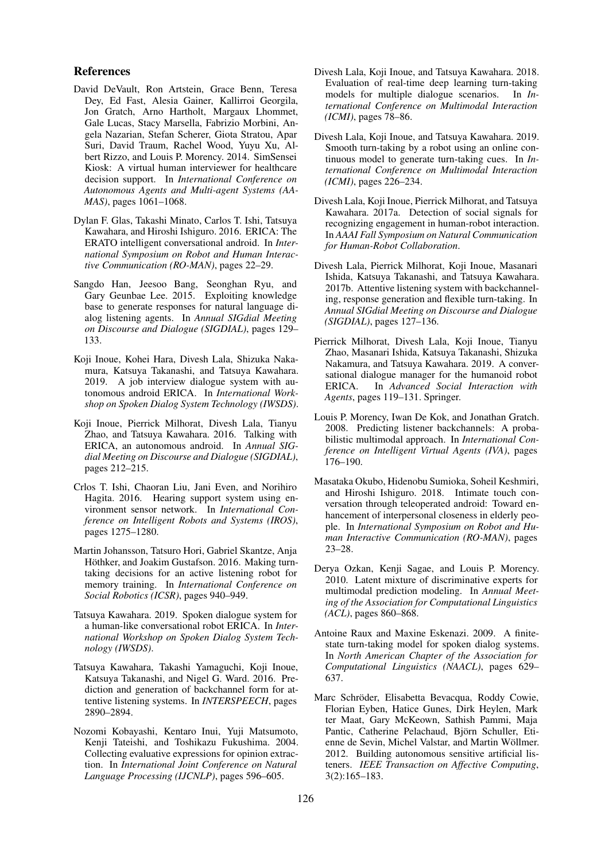#### References

- <span id="page-8-11"></span>David DeVault, Ron Artstein, Grace Benn, Teresa Dey, Ed Fast, Alesia Gainer, Kallirroi Georgila, Jon Gratch, Arno Hartholt, Margaux Lhommet, Gale Lucas, Stacy Marsella, Fabrizio Morbini, Angela Nazarian, Stefan Scherer, Giota Stratou, Apar Suri, David Traum, Rachel Wood, Yuyu Xu, Albert Rizzo, and Louis P. Morency. 2014. SimSensei Kiosk: A virtual human interviewer for healthcare decision support. In *International Conference on Autonomous Agents and Multi-agent Systems (AA-MAS)*, pages 1061–1068.
- <span id="page-8-0"></span>Dylan F. Glas, Takashi Minato, Carlos T. Ishi, Tatsuya Kawahara, and Hiroshi Ishiguro. 2016. ERICA: The ERATO intelligent conversational android. In *International Symposium on Robot and Human Interactive Communication (RO-MAN)*, pages 22–29.
- <span id="page-8-12"></span>Sangdo Han, Jeesoo Bang, Seonghan Ryu, and Gary Geunbae Lee. 2015. Exploiting knowledge base to generate responses for natural language dialog listening agents. In *Annual SIGdial Meeting on Discourse and Dialogue (SIGDIAL)*, pages 129– 133.
- <span id="page-8-1"></span>Koji Inoue, Kohei Hara, Divesh Lala, Shizuka Nakamura, Katsuya Takanashi, and Tatsuya Kawahara. 2019. A job interview dialogue system with autonomous android ERICA. In *International Workshop on Spoken Dialog System Technology (IWSDS)*.
- <span id="page-8-4"></span>Koji Inoue, Pierrick Milhorat, Divesh Lala, Tianyu Zhao, and Tatsuya Kawahara. 2016. Talking with ERICA, an autonomous android. In *Annual SIGdial Meeting on Discourse and Dialogue (SIGDIAL)*, pages 212–215.
- <span id="page-8-9"></span>Crlos T. Ishi, Chaoran Liu, Jani Even, and Norihiro Hagita. 2016. Hearing support system using environment sensor network. In *International Conference on Intelligent Robots and Systems (IROS)*, pages 1275–1280.
- <span id="page-8-13"></span>Martin Johansson, Tatsuro Hori, Gabriel Skantze, Anja Höthker, and Joakim Gustafson. 2016. Making turntaking decisions for an active listening robot for memory training. In *International Conference on Social Robotics (ICSR)*, pages 940–949.
- <span id="page-8-7"></span>Tatsuya Kawahara. 2019. Spoken dialogue system for a human-like conversational robot ERICA. In *International Workshop on Spoken Dialog System Technology (IWSDS)*.
- <span id="page-8-16"></span>Tatsuya Kawahara, Takashi Yamaguchi, Koji Inoue, Katsuya Takanashi, and Nigel G. Ward. 2016. Prediction and generation of backchannel form for attentive listening systems. In *INTERSPEECH*, pages 2890–2894.
- <span id="page-8-17"></span>Nozomi Kobayashi, Kentaro Inui, Yuji Matsumoto, Kenji Tateishi, and Toshikazu Fukushima. 2004. Collecting evaluative expressions for opinion extraction. In *International Joint Conference on Natural Language Processing (IJCNLP)*, pages 596–605.
- <span id="page-8-19"></span>Divesh Lala, Koji Inoue, and Tatsuya Kawahara. 2018. Evaluation of real-time deep learning turn-taking models for multiple dialogue scenarios. In *International Conference on Multimodal Interaction (ICMI)*, pages 78–86.
- <span id="page-8-3"></span>Divesh Lala, Koji Inoue, and Tatsuya Kawahara. 2019. Smooth turn-taking by a robot using an online continuous model to generate turn-taking cues. In *International Conference on Multimodal Interaction (ICMI)*, pages 226–234.
- <span id="page-8-2"></span>Divesh Lala, Koji Inoue, Pierrick Milhorat, and Tatsuya Kawahara. 2017a. Detection of social signals for recognizing engagement in human-robot interaction. In *AAAI Fall Symposium on Natural Communication for Human-Robot Collaboration*.
- <span id="page-8-5"></span>Divesh Lala, Pierrick Milhorat, Koji Inoue, Masanari Ishida, Katsuya Takanashi, and Tatsuya Kawahara. 2017b. Attentive listening system with backchanneling, response generation and flexible turn-taking. In *Annual SIGdial Meeting on Discourse and Dialogue (SIGDIAL)*, pages 127–136.
- <span id="page-8-6"></span>Pierrick Milhorat, Divesh Lala, Koji Inoue, Tianyu Zhao, Masanari Ishida, Katsuya Takanashi, Shizuka Nakamura, and Tatsuya Kawahara. 2019. A conversational dialogue manager for the humanoid robot ERICA. In *Advanced Social Interaction with Agents*, pages 119–131. Springer.
- <span id="page-8-14"></span>Louis P. Morency, Iwan De Kok, and Jonathan Gratch. 2008. Predicting listener backchannels: A probabilistic multimodal approach. In *International Conference on Intelligent Virtual Agents (IVA)*, pages 176–190.
- <span id="page-8-8"></span>Masataka Okubo, Hidenobu Sumioka, Soheil Keshmiri, and Hiroshi Ishiguro. 2018. Intimate touch conversation through teleoperated android: Toward enhancement of interpersonal closeness in elderly people. In *International Symposium on Robot and Human Interactive Communication (RO-MAN)*, pages 23–28.
- <span id="page-8-15"></span>Derya Ozkan, Kenji Sagae, and Louis P. Morency. 2010. Latent mixture of discriminative experts for multimodal prediction modeling. In *Annual Meeting of the Association for Computational Linguistics (ACL)*, pages 860–868.
- <span id="page-8-18"></span>Antoine Raux and Maxine Eskenazi. 2009. A finitestate turn-taking model for spoken dialog systems. In *North American Chapter of the Association for Computational Linguistics (NAACL)*, pages 629– 637.
- <span id="page-8-10"></span>Marc Schröder, Elisabetta Bevacqua, Roddy Cowie, Florian Eyben, Hatice Gunes, Dirk Heylen, Mark ter Maat, Gary McKeown, Sathish Pammi, Maja Pantic, Catherine Pelachaud, Björn Schuller, Etienne de Sevin, Michel Valstar, and Martin Wöllmer. 2012. Building autonomous sensitive artificial listeners. *IEEE Transaction on Affective Computing*, 3(2):165–183.